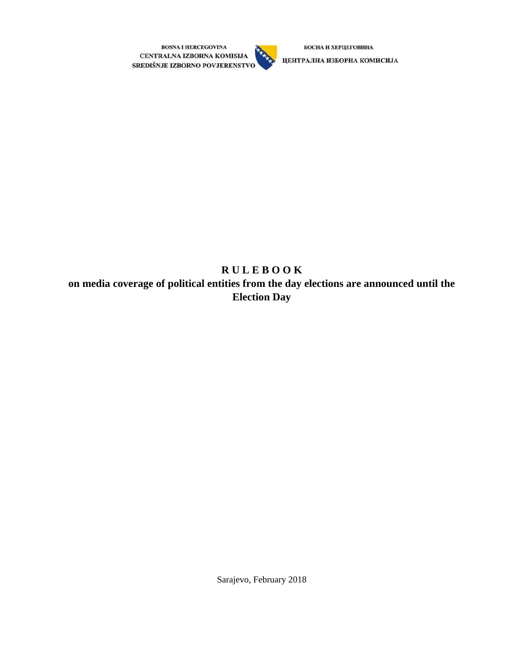



БОСНА И ХЕРЦЕГОВИНА

ЦЕНТРАЛНА ИЗБОРНА КОМИСИЈА

# **R U L E B O O K on media coverage of political entities from the day elections are announced until the Election Day**

Sarajevo, February 2018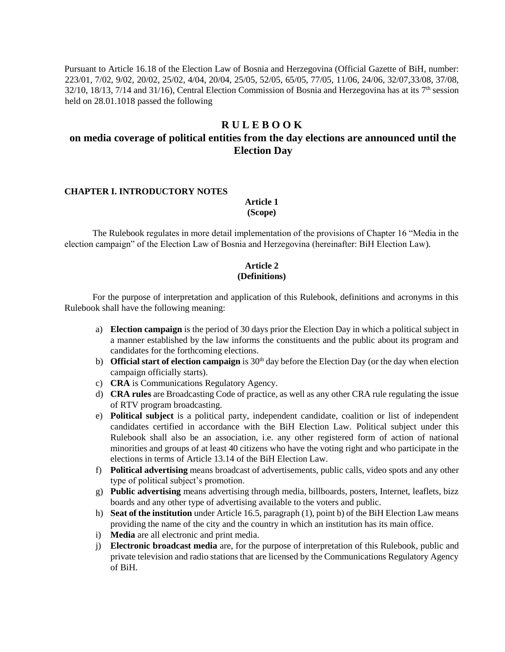Pursuant to Article 16.18 of the Election Law of Bosnia and Herzegovina (Official Gazette of BiH, number: 223/01, 7/02, 9/02, 20/02, 25/02, 4/04, 20/04, 25/05, 52/05, 65/05, 77/05, 11/06, 24/06, 32/07,33/08, 37/08,  $32/10$ ,  $18/13$ ,  $7/14$  and  $31/16$ ), Central Election Commission of Bosnia and Herzegovina has at its  $7<sup>th</sup>$  session held on 28.01.1018 passed the following

### **R U L E B O O K**

## **on media coverage of political entities from the day elections are announced until the Election Day**

#### **CHAPTER I. INTRODUCTORY NOTES**

**Article 1 (Scope)** 

The Rulebook regulates in more detail implementation of the provisions of Chapter 16 "Media in the election campaign" of the Election Law of Bosnia and Herzegovina (hereinafter: BiH Election Law).

#### **Article 2 (Definitions)**

For the purpose of interpretation and application of this Rulebook, definitions and acronyms in this Rulebook shall have the following meaning:

- a) **Election campaign** is the period of 30 days prior the Election Day in which a political subject in a manner established by the law informs the constituents and the public about its program and candidates for the forthcoming elections.
- b) **Official start of election campaign** is 30<sup>th</sup> day before the Election Day (or the day when election campaign officially starts).
- c) **CRA** is Communications Regulatory Agency.
- d) **CRA rules** are Broadcasting Code of practice, as well as any other CRA rule regulating the issue of RTV program broadcasting.
- e) **Political subject** is a political party, independent candidate, coalition or list of independent candidates certified in accordance with the BiH Election Law. Political subject under this Rulebook shall also be an association, i.e. any other registered form of action of national minorities and groups of at least 40 citizens who have the voting right and who participate in the elections in terms of Article 13.14 of the BiH Election Law.
- f) **Political advertising** means broadcast of advertisements, public calls, video spots and any other type of political subject's promotion.
- g) **Public advertising** means advertising through media, billboards, posters, Internet, leaflets, bizz boards and any other type of advertising available to the voters and public.
- h) **Seat of the institution** under Article 16.5, paragraph (1), point b) of the BiH Election Law means providing the name of the city and the country in which an institution has its main office.
- i) **Media** are all electronic and print media.
- j) **Electronic broadcast media** are, for the purpose of interpretation of this Rulebook, public and private television and radio stations that are licensed by the Communications Regulatory Agency of BiH.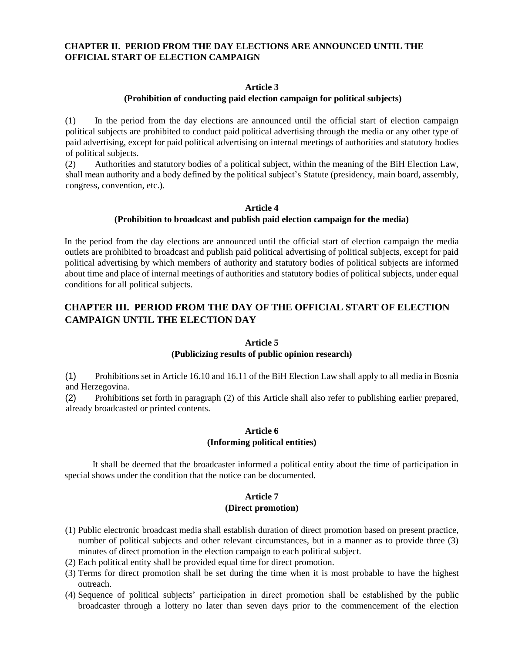#### **CHAPTER II. PERIOD FROM THE DAY ELECTIONS ARE ANNOUNCED UNTIL THE OFFICIAL START OF ELECTION CAMPAIGN**

#### **Article 3**

#### **(Prohibition of conducting paid election campaign for political subjects)**

(1) In the period from the day elections are announced until the official start of election campaign political subjects are prohibited to conduct paid political advertising through the media or any other type of paid advertising, except for paid political advertising on internal meetings of authorities and statutory bodies of political subjects.

(2) Authorities and statutory bodies of a political subject, within the meaning of the BiH Election Law, shall mean authority and a body defined by the political subject's Statute (presidency, main board, assembly, congress, convention, etc.).

#### **Article 4 (Prohibition to broadcast and publish paid election campaign for the media)**

In the period from the day elections are announced until the official start of election campaign the media outlets are prohibited to broadcast and publish paid political advertising of political subjects, except for paid political advertising by which members of authority and statutory bodies of political subjects are informed about time and place of internal meetings of authorities and statutory bodies of political subjects, under equal conditions for all political subjects.

## **CHAPTER III. PERIOD FROM THE DAY OF THE OFFICIAL START OF ELECTION CAMPAIGN UNTIL THE ELECTION DAY**

#### **Article 5**

#### **(Publicizing results of public opinion research)**

(1) Prohibitions set in Article 16.10 and 16.11 of the BiH Election Law shall apply to all media in Bosnia and Herzegovina.

(2) Prohibitions set forth in paragraph (2) of this Article shall also refer to publishing earlier prepared, already broadcasted or printed contents.

#### **Article 6 (Informing political entities)**

It shall be deemed that the broadcaster informed a political entity about the time of participation in special shows under the condition that the notice can be documented.

#### **Article 7 (Direct promotion)**

- (1) Public electronic broadcast media shall establish duration of direct promotion based on present practice, number of political subjects and other relevant circumstances, but in a manner as to provide three (3) minutes of direct promotion in the election campaign to each political subject.
- (2) Each political entity shall be provided equal time for direct promotion.
- (3) Terms for direct promotion shall be set during the time when it is most probable to have the highest outreach.
- (4) Sequence of political subjects' participation in direct promotion shall be established by the public broadcaster through a lottery no later than seven days prior to the commencement of the election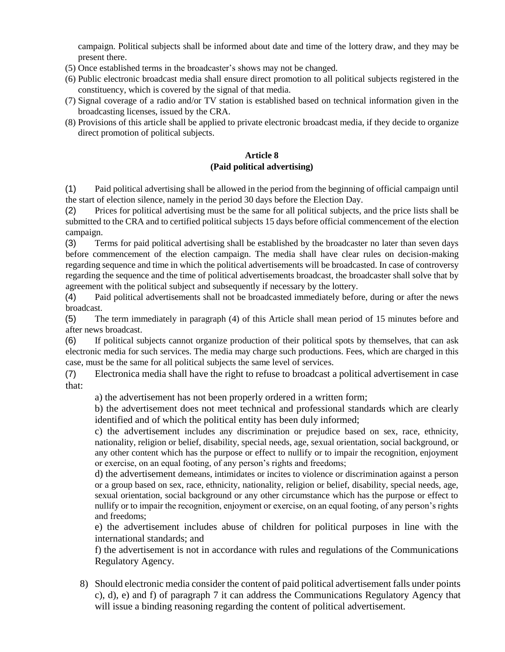campaign. Political subjects shall be informed about date and time of the lottery draw, and they may be present there.

- (5) Once established terms in the broadcaster's shows may not be changed.
- (6) Public electronic broadcast media shall ensure direct promotion to all political subjects registered in the constituency, which is covered by the signal of that media.
- (7) Signal coverage of a radio and/or TV station is established based on technical information given in the broadcasting licenses, issued by the CRA.
- (8) Provisions of this article shall be applied to private electronic broadcast media, if they decide to organize direct promotion of political subjects.

#### **Article 8 (Paid political advertising)**

(1) Paid political advertising shall be allowed in the period from the beginning of official campaign until the start of election silence, namely in the period 30 days before the Election Day.

(2) Prices for political advertising must be the same for all political subjects, and the price lists shall be submitted to the CRA and to certified political subjects 15 days before official commencement of the election campaign.

(3) Terms for paid political advertising shall be established by the broadcaster no later than seven days before commencement of the election campaign. The media shall have clear rules on decision-making regarding sequence and time in which the political advertisements will be broadcasted. In case of controversy regarding the sequence and the time of political advertisements broadcast, the broadcaster shall solve that by agreement with the political subject and subsequently if necessary by the lottery.

(4) Paid political advertisements shall not be broadcasted immediately before, during or after the news broadcast.

(5) The term immediately in paragraph (4) of this Article shall mean period of 15 minutes before and after news broadcast.

(6) If political subjects cannot organize production of their political spots by themselves, that can ask electronic media for such services. The media may charge such productions. Fees, which are charged in this case, must be the same for all political subjects the same level of services.

(7) Electronica media shall have the right to refuse to broadcast a political advertisement in case that:

a) the advertisement has not been properly ordered in a written form;

b) the advertisement does not meet technical and professional standards which are clearly identified and of which the political entity has been duly informed;

c) the advertisement includes any discrimination or prejudice based on sex, race, ethnicity, nationality, religion or belief, disability, special needs, age, sexual orientation, social background, or any other content which has the purpose or effect to nullify or to impair the recognition, enjoyment or exercise, on an equal footing, of any person's rights and freedoms;

d) the advertisement demeans, intimidates or incites to violence or discrimination against a person or a group based on sex, race, ethnicity, nationality, religion or belief, disability, special needs, age, sexual orientation, social background or any other circumstance which has the purpose or effect to nullify or to impair the recognition, enjoyment or exercise, on an equal footing, of any person's rights and freedoms;

e) the advertisement includes abuse of children for political purposes in line with the international standards; and

f) the advertisement is not in accordance with rules and regulations of the Communications Regulatory Agency.

8) Should electronic media consider the content of paid political advertisement falls under points c), d), e) and f) of paragraph 7 it can address the Communications Regulatory Agency that will issue a binding reasoning regarding the content of political advertisement.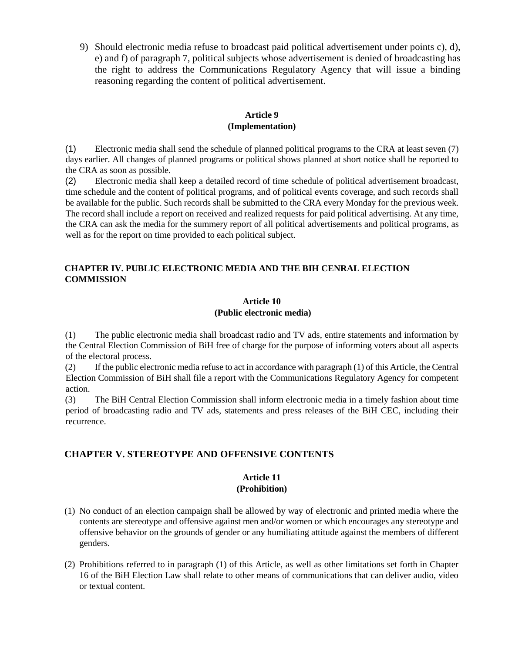9) Should electronic media refuse to broadcast paid political advertisement under points c), d), e) and f) of paragraph 7, political subjects whose advertisement is denied of broadcasting has the right to address the Communications Regulatory Agency that will issue a binding reasoning regarding the content of political advertisement.

### **Article 9 (Implementation)**

(1) Electronic media shall send the schedule of planned political programs to the CRA at least seven (7) days earlier. All changes of planned programs or political shows planned at short notice shall be reported to the CRA as soon as possible.

(2) Electronic media shall keep a detailed record of time schedule of political advertisement broadcast, time schedule and the content of political programs, and of political events coverage, and such records shall be available for the public. Such records shall be submitted to the CRA every Monday for the previous week. The record shall include a report on received and realized requests for paid political advertising. At any time, the CRA can ask the media for the summery report of all political advertisements and political programs, as well as for the report on time provided to each political subject.

#### **CHAPTER IV. PUBLIC ELECTRONIC MEDIA AND THE BIH CENRAL ELECTION COMMISSION**

### **Article 10 (Public electronic media)**

(1) The public electronic media shall broadcast radio and TV ads, entire statements and information by the Central Election Commission of BiH free of charge for the purpose of informing voters about all aspects of the electoral process.

(2) If the public electronic media refuse to act in accordance with paragraph (1) of this Article, the Central Election Commission of BiH shall file a report with the Communications Regulatory Agency for competent action.

(3) The BiH Central Election Commission shall inform electronic media in a timely fashion about time period of broadcasting radio and TV ads, statements and press releases of the BiH CEC, including their recurrence.

### **CHAPTER V. STEREOTYPE AND OFFENSIVE CONTENTS**

#### **Article 11 (Prohibition)**

- (1) No conduct of an election campaign shall be allowed by way of electronic and printed media where the contents are stereotype and offensive against men and/or women or which encourages any stereotype and offensive behavior on the grounds of gender or any humiliating attitude against the members of different genders.
- (2) Prohibitions referred to in paragraph (1) of this Article, as well as other limitations set forth in Chapter 16 of the BiH Election Law shall relate to other means of communications that can deliver audio, video or textual content.